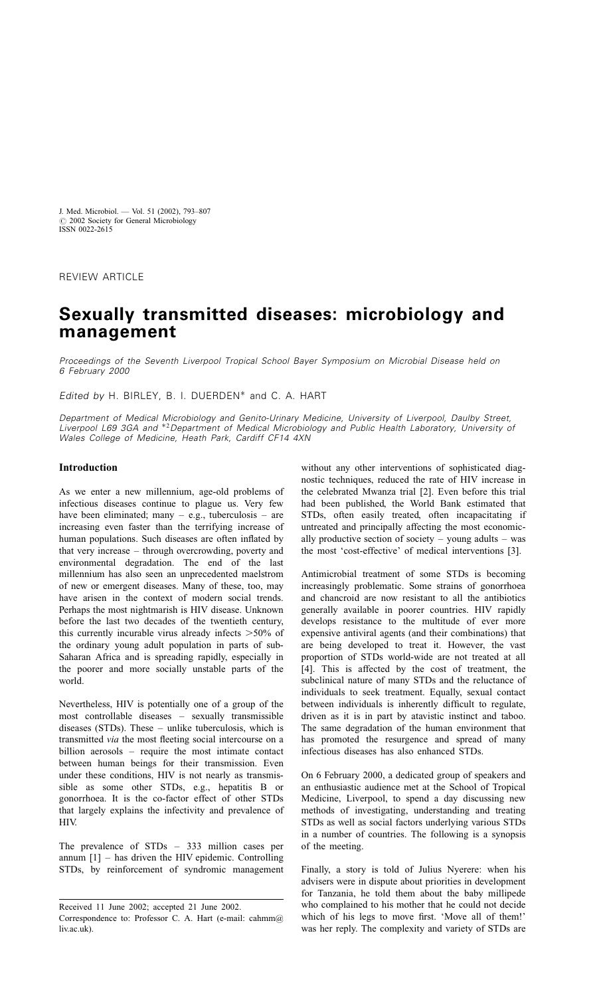REVIEW ARTICLE

# Sexually transmitted diseases: microbiology and management

Proceedings of the Seventh Liverpool Tropical School Bayer Symposium on Microbial Disease held on 6 February 2000

Edited by H. BIRLEY, B. I. DUERDEN<sup>\*</sup> and C. A. HART

Department of Medical Microbiology and Genito-Urinary Medicine, University of Liverpool, Daulby Street, Liverpool L69 3GA and \*<sup>2</sup>Department of Medical Microbiology and Public Health Laboratory, University of Wales College of Medicine, Heath Park, Cardiff CF14 4XN

## Introduction

As we enter a new millennium, age-old problems of infectious diseases continue to plague us. Very few have been eliminated; many  $-$  e.g., tuberculosis  $-$  are increasing even faster than the terrifying increase of human populations. Such diseases are often inflated by that very increase – through overcrowding, poverty and environmental degradation. The end of the last millennium has also seen an unprecedented maelstrom of new or emergent diseases. Many of these, too, may have arisen in the context of modern social trends. Perhaps the most nightmarish is HIV disease. Unknown before the last two decades of the twentieth century, this currently incurable virus already infects  $>50\%$  of the ordinary young adult population in parts of sub-Saharan Africa and is spreading rapidly, especially in the poorer and more socially unstable parts of the world.

Nevertheless, HIV is potentially one of a group of the most controllable diseases – sexually transmissible diseases (STDs). These – unlike tuberculosis, which is transmitted via the most fleeting social intercourse on a billion aerosols – require the most intimate contact between human beings for their transmission. Even under these conditions, HIV is not nearly as transmissible as some other STDs, e.g., hepatitis B or gonorrhoea. It is the co-factor effect of other STDs that largely explains the infectivity and prevalence of HIV.

The prevalence of STDs – 333 million cases per annum  $[1]$  – has driven the HIV epidemic. Controlling STDs, by reinforcement of syndromic management

without any other interventions of sophisticated diagnostic techniques, reduced the rate of HIV increase in the celebrated Mwanza trial [\[2\]](#page-12-0). Even before this trial had been published, the World Bank estimated that STDs, often easily treated, often incapacitating if untreated and principally affecting the most economically productive section of society – young adults – was the most 'cost-effective' of medical interventions [\[3\]](#page-12-0).

Antimicrobial treatment of some STDs is becoming increasingly problematic. Some strains of gonorrhoea and chancroid are now resistant to all the antibiotics generally available in poorer countries. HIV rapidly develops resistance to the multitude of ever more expensive antiviral agents (and their combinations) that are being developed to treat it. However, the vast proportion of STDs world-wide are not treated at all [\[4\]](#page-12-0). This is affected by the cost of treatment, the subclinical nature of many STDs and the reluctance of individuals to seek treatment. Equally, sexual contact between individuals is inherently difficult to regulate, driven as it is in part by atavistic instinct and taboo. The same degradation of the human environment that has promoted the resurgence and spread of many infectious diseases has also enhanced STDs.

On 6 February 2000, a dedicated group of speakers and an enthusiastic audience met at the School of Tropical Medicine, Liverpool, to spend a day discussing new methods of investigating, understanding and treating STDs as well as social factors underlying various STDs in a number of countries. The following is a synopsis of the meeting.

Finally, a story is told of Julius Nyerere: when his advisers were in dispute about priorities in development for Tanzania, he told them about the baby millipede who complained to his mother that he could not decide which of his legs to move first. 'Move all of them!' was her reply. The complexity and variety of STDs are

Received 11 June 2002; accepted 21 June 2002. Correspondence to: Professor C. A. Hart (e-mail: cahmm@) liv.ac.uk).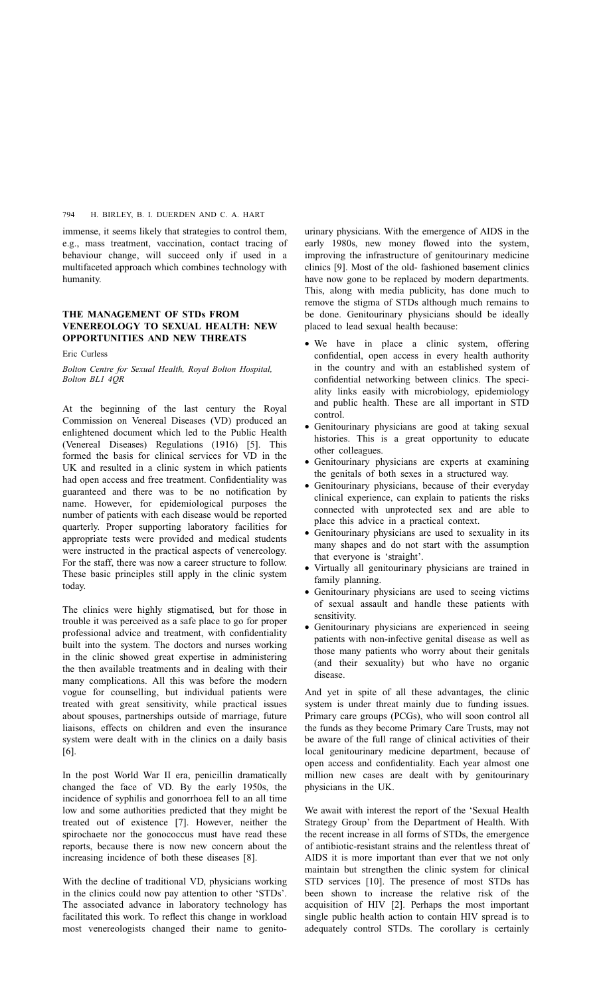immense, it seems likely that strategies to control them, e.g., mass treatment, vaccination, contact tracing of behaviour change, will succeed only if used in a multifaceted approach which combines technology with humanity.

## THE MANAGEMENT OF STDs FROM VENEREOLOGY TO SEXUAL HEALTH: NEW OPPORTUNITIES AND NEW THREATS

## Eric Curless

Bolton Centre for Sexual Health, Royal Bolton Hospital, Bolton BL1 4QR

At the beginning of the last century the Royal Commission on Venereal Diseases (VD) produced an enlightened document which led to the Public Health (Venereal Diseases) Regulations (1916) [\[5\]](#page-12-0). This formed the basis for clinical services for VD in the UK and resulted in a clinic system in which patients had open access and free treatment. Confidentiality was guaranteed and there was to be no notification by name. However, for epidemiological purposes the number of patients with each disease would be reported quarterly. Proper supporting laboratory facilities for appropriate tests were provided and medical students were instructed in the practical aspects of venereology. For the staff, there was now a career structure to follow. These basic principles still apply in the clinic system today.

The clinics were highly stigmatised, but for those in trouble it was perceived as a safe place to go for proper professional advice and treatment, with confidentiality built into the system. The doctors and nurses working in the clinic showed great expertise in administering the then available treatments and in dealing with their many complications. All this was before the modern vogue for counselling, but individual patients were treated with great sensitivity, while practical issues about spouses, partnerships outside of marriage, future liaisons, effects on children and even the insurance system were dealt with in the clinics on a daily basis [\[6\].](#page-12-0)

In the post World War II era, penicillin dramatically changed the face of VD. By the early 1950s, the incidence of syphilis and gonorrhoea fell to an all time low and some authorities predicted that they might be treated out of existence [\[7\]](#page-12-0). However, neither the spirochaete nor the gonococcus must have read these reports, because there is now new concern about the increasing incidence of both these diseases [\[8\].](#page-12-0)

With the decline of traditional VD, physicians working in the clinics could now pay attention to other 'STDs'. The associated advance in laboratory technology has facilitated this work. To reflect this change in workload most venereologists changed their name to genito-

urinary physicians. With the emergence of AIDS in the early 1980s, new money flowed into the system, improving the infrastructure of genitourinary medicine clinics [\[9\]](#page-12-0). Most of the old- fashioned basement clinics have now gone to be replaced by modern departments. This, along with media publicity, has done much to remove the stigma of STDs although much remains to be done. Genitourinary physicians should be ideally placed to lead sexual health because:

- We have in place a clinic system, offering confidential, open access in every health authority in the country and with an established system of confidential networking between clinics. The speciality links easily with microbiology, epidemiology and public health. These are all important in STD control.
- Genitourinary physicians are good at taking sexual histories. This is a great opportunity to educate other colleagues.
- Genitourinary physicians are experts at examining the genitals of both sexes in a structured way.
- Genitourinary physicians, because of their everyday clinical experience, can explain to patients the risks connected with unprotected sex and are able to place this advice in a practical context.
- Genitourinary physicians are used to sexuality in its many shapes and do not start with the assumption that everyone is 'straight'.
- Virtually all genitourinary physicians are trained in family planning.
- Genitourinary physicians are used to seeing victims of sexual assault and handle these patients with sensitivity.
- Genitourinary physicians are experienced in seeing patients with non-infective genital disease as well as those many patients who worry about their genitals (and their sexuality) but who have no organic disease.

And yet in spite of all these advantages, the clinic system is under threat mainly due to funding issues. Primary care groups (PCGs), who will soon control all the funds as they become Primary Care Trusts, may not be aware of the full range of clinical activities of their local genitourinary medicine department, because of open access and confidentiality. Each year almost one million new cases are dealt with by genitourinary physicians in the UK.

We await with interest the report of the 'Sexual Health Strategy Group' from the Department of Health. With the recent increase in all forms of STDs, the emergence of antibiotic-resistant strains and the relentless threat of AIDS it is more important than ever that we not only maintain but strengthen the clinic system for clinical STD services [\[10\].](#page-12-0) The presence of most STDs has been shown to increase the relative risk of the acquisition of HIV [\[2\]](#page-12-0). Perhaps the most important single public health action to contain HIV spread is to adequately control STDs. The corollary is certainly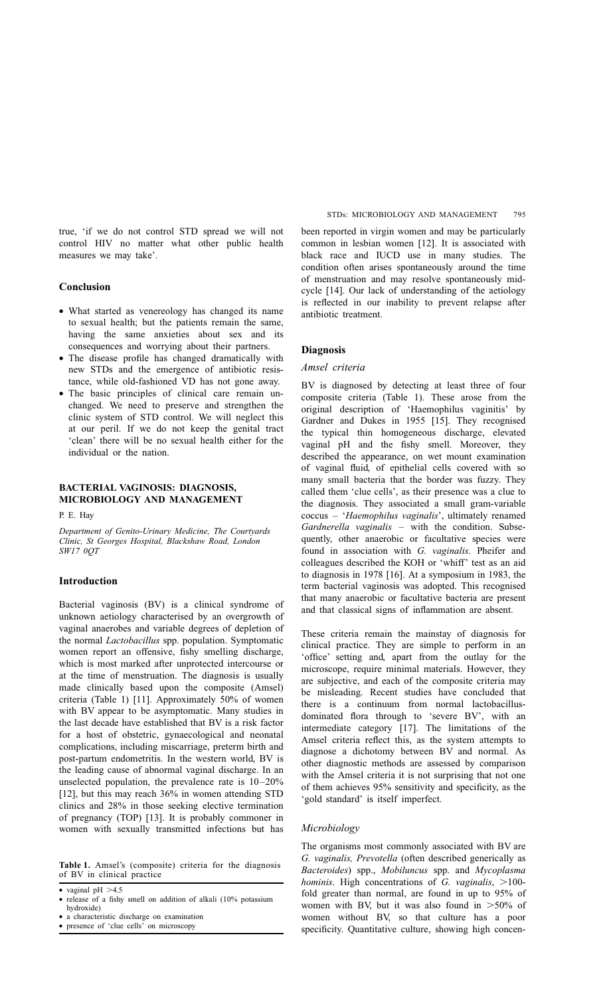true, 'if we do not control STD spread we will not control HIV no matter what other public health measures we may take'.

# Conclusion

- What started as venereology has changed its name to sexual health; but the patients remain the same, having the same anxieties about sex and its consequences and worrying about their partners.
- The disease profile has changed dramatically with new STDs and the emergence of antibiotic resistance, while old-fashioned VD has not gone away.
- The basic principles of clinical care remain unchanged. We need to preserve and strengthen the clinic system of STD control. We will neglect this at our peril. If we do not keep the genital tract 'clean' there will be no sexual health either for the individual or the nation.

## BACTERIAL VAGINOSIS: DIAGNOSIS, MICROBIOLOGY AND MANAGEMENT

P. E. Hay

Department of Genito-Urinary Medicine, The Courtyards Clinic, St Georges Hospital, Blackshaw Road, London SW17 0QT

## Introduction

Bacterial vaginosis (BV) is a clinical syndrome of unknown aetiology characterised by an overgrowth of vaginal anaerobes and variable degrees of depletion of the normal Lactobacillus spp. population. Symptomatic women report an offensive, fishy smelling discharge, which is most marked after unprotected intercourse or at the time of menstruation. The diagnosis is usually made clinically based upon the composite (Amsel) criteria (Table 1) [\[11\]](#page-12-0). Approximately 50% of women with BV appear to be asymptomatic. Many studies in the last decade have established that BV is a risk factor for a host of obstetric, gynaecological and neonatal complications, including miscarriage, preterm birth and post-partum endometritis. In the western world, BV is the leading cause of abnormal vaginal discharge. In an unselected population, the prevalence rate is 10–20% [\[12\]](#page-12-0), but this may reach 36% in women attending STD clinics and 28% in those seeking elective termination of pregnancy (TOP) [\[13\]](#page-12-0). It is probably commoner in women with sexually transmitted infections but has

Table 1. Amsel's (composite) criteria for the diagnosis of BV in clinical practice

• vaginal  $pH > 4.5$ 

- a characteristic discharge on examination
- presence of 'clue cells' on microscopy

been reported in virgin women and may be particularly common in lesbian women [\[12\].](#page-12-0) It is associated with black race and IUCD use in many studies. The condition often arises spontaneously around the time of menstruation and may resolve spontaneously midcycle [\[14\]](#page-12-0). Our lack of understanding of the aetiology is reflected in our inability to prevent relapse after antibiotic treatment.

## Diagnosis

#### Amsel criteria

BV is diagnosed by detecting at least three of four composite criteria (Table 1). These arose from the original description of 'Haemophilus vaginitis' by Gardner and Dukes in 1955 [\[15\]](#page-12-0). They recognised the typical thin homogeneous discharge, elevated vaginal pH and the fishy smell. Moreover, they described the appearance, on wet mount examination of vaginal fluid, of epithelial cells covered with so many small bacteria that the border was fuzzy. They called them 'clue cells', as their presence was a clue to the diagnosis. They associated a small gram-variable coccus – 'Haemophilus vaginalis', ultimately renamed Gardnerella vaginalis – with the condition. Subsequently, other anaerobic or facultative species were found in association with G. vaginalis. Pheifer and colleagues described the KOH or 'whiff' test as an aid to diagnosis in 1978 [\[16\]](#page-12-0). At a symposium in 1983, the term bacterial vaginosis was adopted. This recognised that many anaerobic or facultative bacteria are present and that classical signs of inflammation are absent.

These criteria remain the mainstay of diagnosis for clinical practice. They are simple to perform in an 'office' setting and, apart from the outlay for the microscope, require minimal materials. However, they are subjective, and each of the composite criteria may be misleading. Recent studies have concluded that there is a continuum from normal lactobacillusdominated flora through to 'severe BV', with an intermediate category [\[17\].](#page-12-0) The limitations of the Amsel criteria reflect this, as the system attempts to diagnose a dichotomy between BV and normal. As other diagnostic methods are assessed by comparison with the Amsel criteria it is not surprising that not one of them achieves 95% sensitivity and specificity, as the 'gold standard' is itself imperfect.

#### Microbiology

The organisms most commonly associated with BV are G. vaginalis, Prevotella (often described generically as Bacteroides) spp., Mobiluncus spp. and Mycoplasma hominis. High concentrations of G. vaginalis,  $>100$ fold greater than normal, are found in up to 95% of women with BV, but it was also found in  $>50\%$  of women without BV, so that culture has a poor specificity. Quantitative culture, showing high concen-

<sup>•</sup> release of a fishy smell on addition of alkali (10% potassium hydroxide)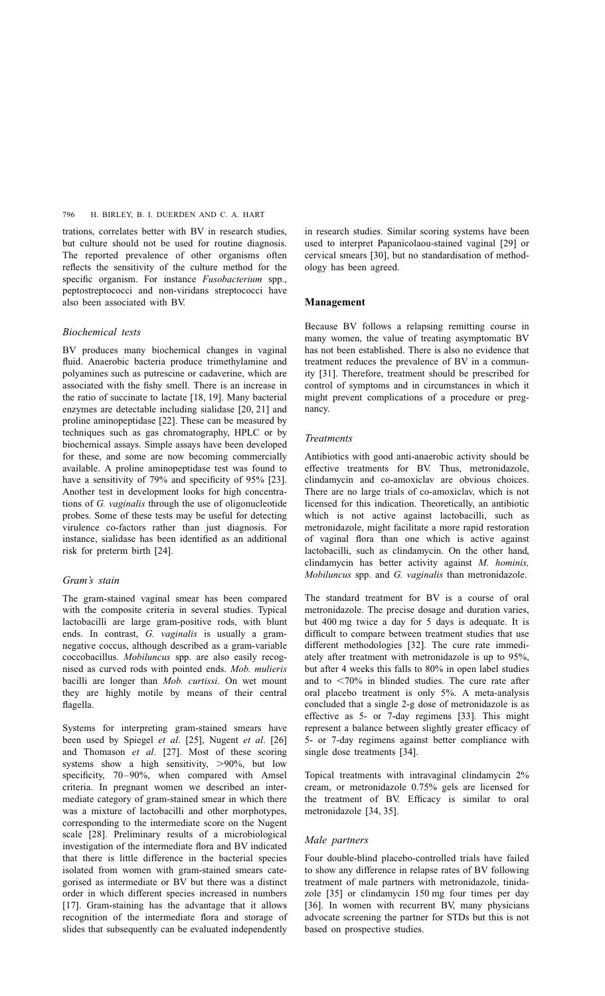trations, correlates better with BV in research studies, but culture should not be used for routine diagnosis. The reported prevalence of other organisms often reflects the sensitivity of the culture method for the specific organism. For instance Fusobacterium spp., peptostreptococci and non-viridans streptococci have also been associated with BV.

## Biochemical tests

BV produces many biochemical changes in vaginal fluid. Anaerobic bacteria produce trimethylamine and polyamines such as putrescine or cadaverine, which are associated with the fishy smell. There is an increase in the ratio of succinate to lactate [\[18, 19\].](#page-12-0) Many bacterial enzymes are detectable including sialidase [\[20, 21\]](#page-12-0) and proline aminopeptidase [\[22\]](#page-12-0). These can be measured by techniques such as gas chromatography, HPLC or by biochemical assays. Simple assays have been developed for these, and some are now becoming commercially available. A proline aminopeptidase test was found to have a sensitivity of 79% and specificity of 95% [\[23\].](#page-12-0) Another test in development looks for high concentrations of G. vaginalis through the use of oligonucleotide probes. Some of these tests may be useful for detecting virulence co-factors rather than just diagnosis. For instance, sialidase has been identified as an additional risk for preterm birth [\[24\].](#page-13-0)

## Gram's stain

The gram-stained vaginal smear has been compared with the composite criteria in several studies. Typical lactobacilli are large gram-positive rods, with blunt ends. In contrast, G. vaginalis is usually a gramnegative coccus, although described as a gram-variable coccobacillus. Mobiluncus spp. are also easily recognised as curved rods with pointed ends. Mob. mulieris bacilli are longer than Mob. curtissi. On wet mount they are highly motile by means of their central flagella.

Systems for interpreting gram-stained smears have been used by Spiegel et al. [\[25\]](#page-13-0), Nugent et al. [\[26\]](#page-13-0) and Thomason et al. [\[27\]](#page-13-0). Most of these scoring systems show a high sensitivity,  $>90\%$ , but low specificity, 70–90%, when compared with Amsel criteria. In pregnant women we described an intermediate category of gram-stained smear in which there was a mixture of lactobacilli and other morphotypes, corresponding to the intermediate score on the Nugent scale [\[28\]](#page-13-0). Preliminary results of a microbiological investigation of the intermediate flora and BV indicated that there is little difference in the bacterial species isolated from women with gram-stained smears categorised as intermediate or BV but there was a distinct order in which different species increased in numbers [\[17\].](#page-12-0) Gram-staining has the advantage that it allows recognition of the intermediate flora and storage of slides that subsequently can be evaluated independently

in research studies. Similar scoring systems have been used to interpret Papanicolaou-stained vaginal [\[29\]](#page-13-0) or cervical smears [\[30\]](#page-13-0), but no standardisation of methodology has been agreed.

#### Management

Because BV follows a relapsing remitting course in many women, the value of treating asymptomatic BV has not been established. There is also no evidence that treatment reduces the prevalence of BV in a community [\[31\]](#page-13-0). Therefore, treatment should be prescribed for control of symptoms and in circumstances in which it might prevent complications of a procedure or pregnancy.

## Treatments

Antibiotics with good anti-anaerobic activity should be effective treatments for BV. Thus, metronidazole, clindamycin and co-amoxiclav are obvious choices. There are no large trials of co-amoxiclav, which is not licensed for this indication. Theoretically, an antibiotic which is not active against lactobacilli, such as metronidazole, might facilitate a more rapid restoration of vaginal flora than one which is active against lactobacilli, such as clindamycin. On the other hand, clindamycin has better activity against M. hominis, Mobiluncus spp. and G. vaginalis than metronidazole.

The standard treatment for BV is a course of oral metronidazole. The precise dosage and duration varies, but 400 mg twice a day for 5 days is adequate. It is difficult to compare between treatment studies that use different methodologies [\[32\]](#page-13-0). The cure rate immediately after treatment with metronidazole is up to 95%, but after 4 weeks this falls to 80% in open label studies and to  $< 70\%$  in blinded studies. The cure rate after oral placebo treatment is only 5%. A meta-analysis concluded that a single 2-g dose of metronidazole is as effective as 5- or 7-day regimens [\[33\].](#page-13-0) This might represent a balance between slightly greater efficacy of 5- or 7-day regimens against better compliance with single dose treatments [\[34\].](#page-13-0)

Topical treatments with intravaginal clindamycin 2% cream, or metronidazole 0.75% gels are licensed for the treatment of BV. Efficacy is similar to oral metronidazole [\[34, 35\]](#page-13-0).

## Male partners

Four double-blind placebo-controlled trials have failed to show any difference in relapse rates of BV following treatment of male partners with metronidazole, tinidazole [\[35\]](#page-13-0) or clindamycin 150 mg four times per day [\[36\].](#page-13-0) In women with recurrent BV, many physicians advocate screening the partner for STDs but this is not based on prospective studies.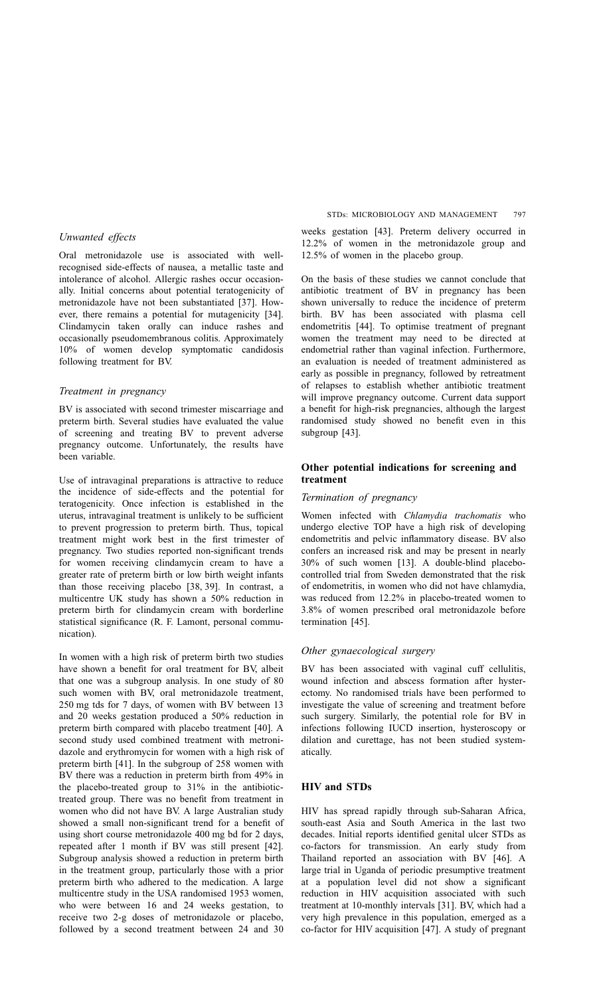Oral metronidazole use is associated with wellrecognised side-effects of nausea, a metallic taste and intolerance of alcohol. Allergic rashes occur occasionally. Initial concerns about potential teratogenicity of metronidazole have not been substantiated [\[37\].](#page-13-0) However, there remains a potential for mutagenicity [\[34\]](#page-13-0). Clindamycin taken orally can induce rashes and occasionally pseudomembranous colitis. Approximately 10% of women develop symptomatic candidosis following treatment for BV.

#### Treatment in pregnancy

BV is associated with second trimester miscarriage and preterm birth. Several studies have evaluated the value of screening and treating BV to prevent adverse pregnancy outcome. Unfortunately, the results have been variable.

Use of intravaginal preparations is attractive to reduce the incidence of side-effects and the potential for teratogenicity. Once infection is established in the uterus, intravaginal treatment is unlikely to be sufficient to prevent progression to preterm birth. Thus, topical treatment might work best in the first trimester of pregnancy. Two studies reported non-significant trends for women receiving clindamycin cream to have a greater rate of preterm birth or low birth weight infants than those receiving placebo [\[38, 39\]](#page-13-0). In contrast, a multicentre UK study has shown a 50% reduction in preterm birth for clindamycin cream with borderline statistical significance (R. F. Lamont, personal communication).

In women with a high risk of preterm birth two studies have shown a benefit for oral treatment for BV, albeit that one was a subgroup analysis. In one study of 80 such women with BV, oral metronidazole treatment, 250 mg tds for 7 days, of women with BV between 13 and 20 weeks gestation produced a 50% reduction in preterm birth compared with placebo treatment [\[40\].](#page-13-0) A second study used combined treatment with metronidazole and erythromycin for women with a high risk of preterm birth [\[41\]](#page-13-0). In the subgroup of 258 women with BV there was a reduction in preterm birth from 49% in the placebo-treated group to 31% in the antibiotictreated group. There was no benefit from treatment in women who did not have BV. A large Australian study showed a small non-significant trend for a benefit of using short course metronidazole 400 mg bd for 2 days, repeated after 1 month if BV was still present [\[42\]](#page-13-0). Subgroup analysis showed a reduction in preterm birth in the treatment group, particularly those with a prior preterm birth who adhered to the medication. A large multicentre study in the USA randomised 1953 women, who were between 16 and 24 weeks gestation, to receive two 2-g doses of metronidazole or placebo, followed by a second treatment between 24 and 30

weeks gestation [\[43\]](#page-13-0). Preterm delivery occurred in 12.2% of women in the metronidazole group and 12.5% of women in the placebo group.

On the basis of these studies we cannot conclude that antibiotic treatment of BV in pregnancy has been shown universally to reduce the incidence of preterm birth. BV has been associated with plasma cell endometritis [\[44\].](#page-13-0) To optimise treatment of pregnant women the treatment may need to be directed at endometrial rather than vaginal infection. Furthermore, an evaluation is needed of treatment administered as early as possible in pregnancy, followed by retreatment of relapses to establish whether antibiotic treatment will improve pregnancy outcome. Current data support a benefit for high-risk pregnancies, although the largest randomised study showed no benefit even in this subgroup [\[43\]](#page-13-0).

# Other potential indications for screening and treatment

#### Termination of pregnancy

Women infected with Chlamydia trachomatis who undergo elective TOP have a high risk of developing endometritis and pelvic inflammatory disease. BV also confers an increased risk and may be present in nearly 30% of such women [\[13\]](#page-12-0). A double-blind placebocontrolled trial from Sweden demonstrated that the risk of endometritis, in women who did not have chlamydia, was reduced from 12.2% in placebo-treated women to 3.8% of women prescribed oral metronidazole before termination [\[45\].](#page-13-0)

## Other gynaecological surgery

BV has been associated with vaginal cuff cellulitis, wound infection and abscess formation after hysterectomy. No randomised trials have been performed to investigate the value of screening and treatment before such surgery. Similarly, the potential role for BV in infections following IUCD insertion, hysteroscopy or dilation and curettage, has not been studied systematically.

## HIV and STDs

HIV has spread rapidly through sub-Saharan Africa, south-east Asia and South America in the last two decades. Initial reports identified genital ulcer STDs as co-factors for transmission. An early study from Thailand reported an association with BV [\[46\].](#page-13-0) A large trial in Uganda of periodic presumptive treatment at a population level did not show a significant reduction in HIV acquisition associated with such treatment at 10-monthly intervals [\[31\]](#page-13-0). BV, which had a very high prevalence in this population, emerged as a co-factor for HIV acquisition [\[47\].](#page-13-0) A study of pregnant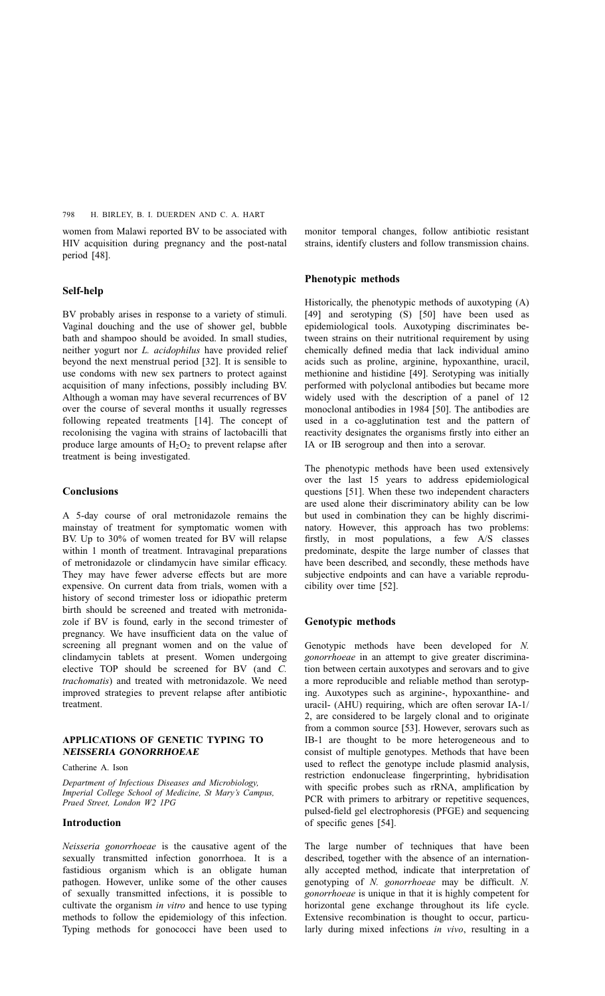women from Malawi reported BV to be associated with HIV acquisition during pregnancy and the post-natal period [\[48\]](#page-13-0).

#### Self-help

BV probably arises in response to a variety of stimuli. Vaginal douching and the use of shower gel, bubble bath and shampoo should be avoided. In small studies, neither yogurt nor *L. acidophilus* have provided relief beyond the next menstrual period [\[32\]](#page-13-0). It is sensible to use condoms with new sex partners to protect against acquisition of many infections, possibly including BV. Although a woman may have several recurrences of BV over the course of several months it usually regresses following repeated treatments [\[14\]](#page-12-0). The concept of recolonising the vagina with strains of lactobacilli that produce large amounts of  $H_2O_2$  to prevent relapse after treatment is being investigated.

## **Conclusions**

A 5-day course of oral metronidazole remains the mainstay of treatment for symptomatic women with BV. Up to 30% of women treated for BV will relapse within 1 month of treatment. Intravaginal preparations of metronidazole or clindamycin have similar efficacy. They may have fewer adverse effects but are more expensive. On current data from trials, women with a history of second trimester loss or idiopathic preterm birth should be screened and treated with metronidazole if BV is found, early in the second trimester of pregnancy. We have insufficient data on the value of screening all pregnant women and on the value of clindamycin tablets at present. Women undergoing elective TOP should be screened for BV (and C. trachomatis) and treated with metronidazole. We need improved strategies to prevent relapse after antibiotic treatment.

## APPLICATIONS OF GENETIC TYPING TO NEISSERIA GONORRHOEAE

Catherine A. Ison

Department of Infectious Diseases and Microbiology, Imperial College School of Medicine, St Mary's Campus, Praed Street, London W2 1PG

#### Introduction

Neisseria gonorrhoeae is the causative agent of the sexually transmitted infection gonorrhoea. It is a fastidious organism which is an obligate human pathogen. However, unlike some of the other causes of sexually transmitted infections, it is possible to cultivate the organism in vitro and hence to use typing methods to follow the epidemiology of this infection. Typing methods for gonococci have been used to monitor temporal changes, follow antibiotic resistant strains, identify clusters and follow transmission chains.

## Phenotypic methods

Historically, the phenotypic methods of auxotyping (A) [\[49\]](#page-13-0) and serotyping (S) [\[50\]](#page-13-0) have been used as epidemiological tools. Auxotyping discriminates between strains on their nutritional requirement by using chemically defined media that lack individual amino acids such as proline, arginine, hypoxanthine, uracil, methionine and histidine [\[49\].](#page-13-0) Serotyping was initially performed with polyclonal antibodies but became more widely used with the description of a panel of 12 monoclonal antibodies in 1984 [\[50\]](#page-13-0). The antibodies are used in a co-agglutination test and the pattern of reactivity designates the organisms firstly into either an IA or IB serogroup and then into a serovar.

The phenotypic methods have been used extensively over the last 15 years to address epidemiological questions [\[51\]](#page-13-0). When these two independent characters are used alone their discriminatory ability can be low but used in combination they can be highly discriminatory. However, this approach has two problems: firstly, in most populations, a few A/S classes predominate, despite the large number of classes that have been described, and secondly, these methods have subjective endpoints and can have a variable reproducibility over time [\[52\]](#page-13-0).

## Genotypic methods

Genotypic methods have been developed for N. gonorrhoeae in an attempt to give greater discrimination between certain auxotypes and serovars and to give a more reproducible and reliable method than serotyping. Auxotypes such as arginine-, hypoxanthine- and uracil- (AHU) requiring, which are often serovar IA-1/ 2, are considered to be largely clonal and to originate from a common source [\[53\].](#page-13-0) However, serovars such as IB-1 are thought to be more heterogeneous and to consist of multiple genotypes. Methods that have been used to reflect the genotype include plasmid analysis, restriction endonuclease fingerprinting, hybridisation with specific probes such as rRNA, amplification by PCR with primers to arbitrary or repetitive sequences, pulsed-field gel electrophoresis (PFGE) and sequencing of specific genes [\[54\]](#page-13-0).

The large number of techniques that have been described, together with the absence of an internationally accepted method, indicate that interpretation of genotyping of N. gonorrhoeae may be difficult. N. gonorrhoeae is unique in that it is highly competent for horizontal gene exchange throughout its life cycle. Extensive recombination is thought to occur, particularly during mixed infections in vivo, resulting in a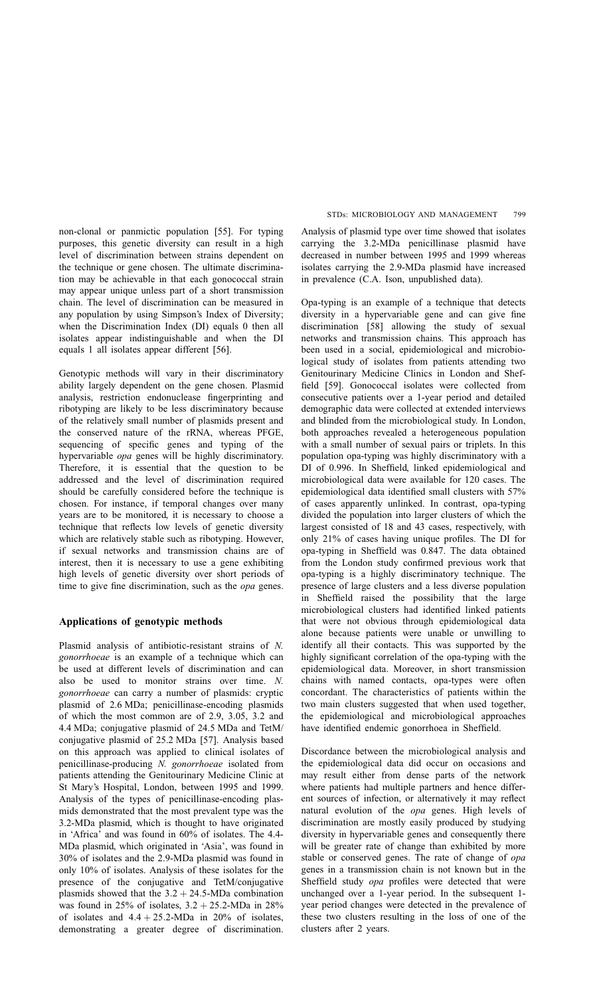non-clonal or panmictic population [\[55\]](#page-13-0). For typing purposes, this genetic diversity can result in a high level of discrimination between strains dependent on the technique or gene chosen. The ultimate discrimination may be achievable in that each gonococcal strain may appear unique unless part of a short transmission chain. The level of discrimination can be measured in any population by using Simpson's Index of Diversity; when the Discrimination Index (DI) equals 0 then all isolates appear indistinguishable and when the DI equals 1 all isolates appear different [\[56\]](#page-13-0).

Genotypic methods will vary in their discriminatory ability largely dependent on the gene chosen. Plasmid analysis, restriction endonuclease fingerprinting and ribotyping are likely to be less discriminatory because of the relatively small number of plasmids present and the conserved nature of the rRNA, whereas PFGE, sequencing of specific genes and typing of the hypervariable opa genes will be highly discriminatory. Therefore, it is essential that the question to be addressed and the level of discrimination required should be carefully considered before the technique is chosen. For instance, if temporal changes over many years are to be monitored, it is necessary to choose a technique that reflects low levels of genetic diversity which are relatively stable such as ribotyping. However, if sexual networks and transmission chains are of interest, then it is necessary to use a gene exhibiting high levels of genetic diversity over short periods of time to give fine discrimination, such as the *opa* genes.

## Applications of genotypic methods

Plasmid analysis of antibiotic-resistant strains of N. gonorrhoeae is an example of a technique which can be used at different levels of discrimination and can also be used to monitor strains over time. N. gonorrhoeae can carry a number of plasmids: cryptic plasmid of 2.6 MDa; penicillinase-encoding plasmids of which the most common are of 2.9, 3.05, 3.2 and 4.4 MDa; conjugative plasmid of 24.5 MDa and TetM/ conjugative plasmid of 25.2 MDa [\[57\]](#page-13-0). Analysis based on this approach was applied to clinical isolates of penicillinase-producing N. gonorrhoeae isolated from patients attending the Genitourinary Medicine Clinic at St Mary's Hospital, London, between 1995 and 1999. Analysis of the types of penicillinase-encoding plasmids demonstrated that the most prevalent type was the 3.2-MDa plasmid, which is thought to have originated in 'Africa' and was found in 60% of isolates. The 4.4- MDa plasmid, which originated in 'Asia', was found in 30% of isolates and the 2.9-MDa plasmid was found in only 10% of isolates. Analysis of these isolates for the presence of the conjugative and TetM/conjugative plasmids showed that the  $3.2 + 24.5$ -MDa combination was found in 25% of isolates,  $3.2 + 25.2$ -MDa in 28% of isolates and  $4.4 + 25.2$ -MDa in 20% of isolates, demonstrating a greater degree of discrimination.

Analysis of plasmid type over time showed that isolates carrying the 3.2-MDa penicillinase plasmid have decreased in number between 1995 and 1999 whereas isolates carrying the 2.9-MDa plasmid have increased in prevalence (C.A. Ison, unpublished data).

Opa-typing is an example of a technique that detects diversity in a hypervariable gene and can give fine discrimination [\[58\]](#page-13-0) allowing the study of sexual networks and transmission chains. This approach has been used in a social, epidemiological and microbiological study of isolates from patients attending two Genitourinary Medicine Clinics in London and Sheffield [\[59\]](#page-13-0). Gonococcal isolates were collected from consecutive patients over a 1-year period and detailed demographic data were collected at extended interviews and blinded from the microbiological study. In London, both approaches revealed a heterogeneous population with a small number of sexual pairs or triplets. In this population opa-typing was highly discriminatory with a DI of 0.996. In Sheffield, linked epidemiological and microbiological data were available for 120 cases. The epidemiological data identified small clusters with 57% of cases apparently unlinked. In contrast, opa-typing divided the population into larger clusters of which the largest consisted of 18 and 43 cases, respectively, with only 21% of cases having unique profiles. The DI for opa-typing in Sheffield was 0.847. The data obtained from the London study confirmed previous work that opa-typing is a highly discriminatory technique. The presence of large clusters and a less diverse population in Sheffield raised the possibility that the large microbiological clusters had identified linked patients that were not obvious through epidemiological data alone because patients were unable or unwilling to identify all their contacts. This was supported by the highly significant correlation of the opa-typing with the epidemiological data. Moreover, in short transmission chains with named contacts, opa-types were often concordant. The characteristics of patients within the two main clusters suggested that when used together, the epidemiological and microbiological approaches have identified endemic gonorrhoea in Sheffield.

Discordance between the microbiological analysis and the epidemiological data did occur on occasions and may result either from dense parts of the network where patients had multiple partners and hence different sources of infection, or alternatively it may reflect natural evolution of the opa genes. High levels of discrimination are mostly easily produced by studying diversity in hypervariable genes and consequently there will be greater rate of change than exhibited by more stable or conserved genes. The rate of change of opa genes in a transmission chain is not known but in the Sheffield study opa profiles were detected that were unchanged over a 1-year period. In the subsequent 1 year period changes were detected in the prevalence of these two clusters resulting in the loss of one of the clusters after 2 years.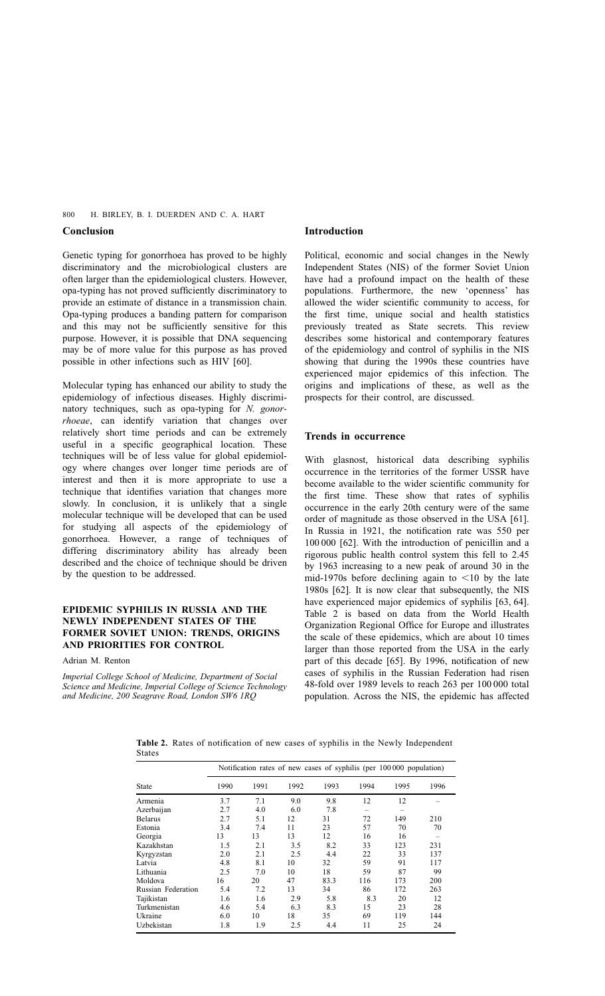## <span id="page-7-0"></span>Conclusion

Genetic typing for gonorrhoea has proved to be highly discriminatory and the microbiological clusters are often larger than the epidemiological clusters. However, opa-typing has not proved sufficiently discriminatory to provide an estimate of distance in a transmission chain. Opa-typing produces a banding pattern for comparison and this may not be sufficiently sensitive for this purpose. However, it is possible that DNA sequencing may be of more value for this purpose as has proved possible in other infections such as HIV [\[60\]](#page-13-0).

Molecular typing has enhanced our ability to study the epidemiology of infectious diseases. Highly discriminatory techniques, such as opa-typing for N. gonorrhoeae, can identify variation that changes over relatively short time periods and can be extremely useful in a specific geographical location. These techniques will be of less value for global epidemiology where changes over longer time periods are of interest and then it is more appropriate to use a technique that identifies variation that changes more slowly. In conclusion, it is unlikely that a single molecular technique will be developed that can be used for studying all aspects of the epidemiology of gonorrhoea. However, a range of techniques of differing discriminatory ability has already been described and the choice of technique should be driven by the question to be addressed.

## EPIDEMIC SYPHILIS IN RUSSIA AND THE NEWLY INDEPENDENT STATES OF THE FORMER SOVIET UNION: TRENDS, ORIGINS AND PRIORITIES FOR CONTROL

Adrian M. Renton

Imperial College School of Medicine, Department of Social Science and Medicine, Imperial College of Science Technology and Medicine, 200 Seagrave Road, London SW6 1RQ

## Introduction

Political, economic and social changes in the Newly Independent States (NIS) of the former Soviet Union have had a profound impact on the health of these populations. Furthermore, the new 'openness' has allowed the wider scientific community to access, for the first time, unique social and health statistics previously treated as State secrets. This review describes some historical and contemporary features of the epidemiology and control of syphilis in the NIS showing that during the 1990s these countries have experienced major epidemics of this infection. The origins and implications of these, as well as the prospects for their control, are discussed.

## Trends in occurrence

With glasnost, historical data describing syphilis occurrence in the territories of the former USSR have become available to the wider scientific community for the first time. These show that rates of syphilis occurrence in the early 20th century were of the same order of magnitude as those observed in the USA [\[61\]](#page-13-0). In Russia in 1921, the notification rate was 550 per 100 000 [\[62\]](#page-13-0). With the introduction of penicillin and a rigorous public health control system this fell to 2.45 by 1963 increasing to a new peak of around 30 in the mid-1970s before declining again to  $\leq 10$  by the late 1980s [\[62\].](#page-13-0) It is now clear that subsequently, the NIS have experienced major epidemics of syphilis [\[63, 64\].](#page-13-0) Table 2 is based on data from the World Health Organization Regional Office for Europe and illustrates the scale of these epidemics, which are about 10 times larger than those reported from the USA in the early part of this decade [\[65\].](#page-13-0) By 1996, notification of new cases of syphilis in the Russian Federation had risen 48-fold over 1989 levels to reach 263 per 100 000 total population. Across the NIS, the epidemic has affected

Table 2. Rates of notification of new cases of syphilis in the Newly Independent States

|                    | Notification rates of new cases of syphilis (per 100000 population) |      |      |      |      |      |      |
|--------------------|---------------------------------------------------------------------|------|------|------|------|------|------|
| <b>State</b>       | 1990                                                                | 1991 | 1992 | 1993 | 1994 | 1995 | 1996 |
| Armenia            | 3.7                                                                 | 7.1  | 9.0  | 9.8  | 12   | 12   |      |
| Azerbaijan         | 2.7                                                                 | 4.0  | 6.0  | 7.8  |      |      |      |
| Belarus            | 2.7                                                                 | 5.1  | 12   | 31   | 72   | 149  | 210  |
| Estonia            | 3.4                                                                 | 7.4  | 11   | 23   | 57   | 70   | 70   |
| Georgia            | 13                                                                  | 13   | 13   | 12   | 16   | 16   |      |
| Kazakhstan         | 1.5                                                                 | 2.1  | 3.5  | 8.2  | 33   | 123  | 231  |
| Kyrgyzstan         | 2.0                                                                 | 2.1  | 2.5  | 4.4  | 22   | 33   | 137  |
| Latvia             | 4.8                                                                 | 8.1  | 10   | 32   | 59   | 91   | 117  |
| Lithuania          | 2.5                                                                 | 7.0  | 10   | 18   | 59   | 87   | 99   |
| Moldova            | 16                                                                  | 20   | 47   | 83.3 | 116  | 173  | 200  |
| Russian Federation | 5.4                                                                 | 7.2  | 13   | 34   | 86   | 172  | 263  |
| Tajikistan         | 1.6                                                                 | 1.6  | 2.9  | 5.8  | 8.3  | 20   | 12   |
| Turkmenistan       | 4.6                                                                 | 5.4  | 6.3  | 8.3  | 15   | 23   | 28   |
| Ukraine            | 6.0                                                                 | 10   | 18   | 35   | 69   | 119  | 144  |
| Uzbekistan         | 1.8                                                                 | 1.9  | 2.5  | 4.4  | 11   | 25   | 24   |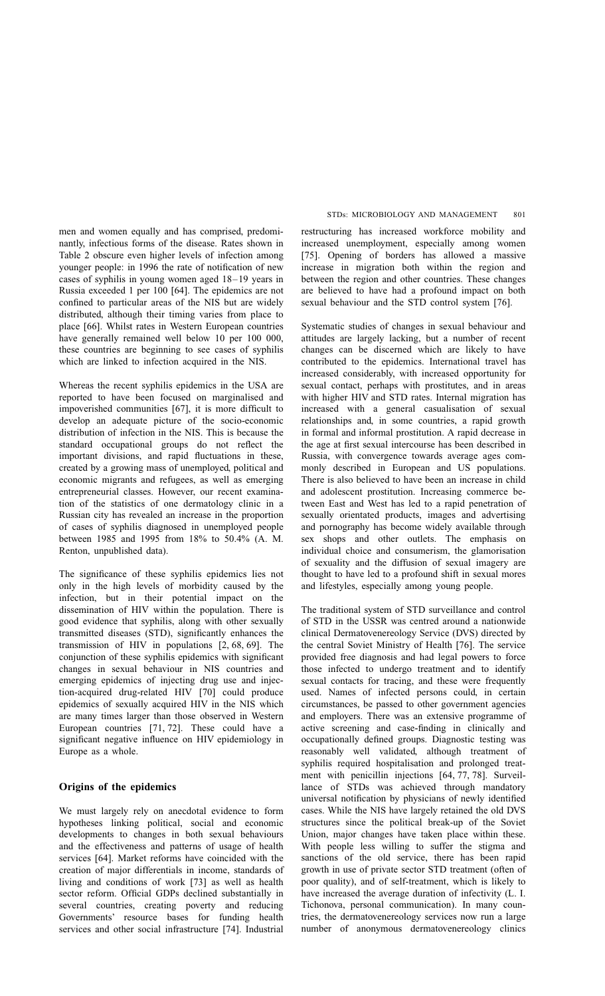men and women equally and has comprised, predominantly, infectious forms of the disease. Rates shown in [Table 2 o](#page-7-0)bscure even higher levels of infection among younger people: in 1996 the rate of notification of new cases of syphilis in young women aged 18–19 years in Russia exceeded 1 per 100 [\[64\]](#page-13-0). The epidemics are not confined to particular areas of the NIS but are widely distributed, although their timing varies from place to place [\[66\]](#page-13-0). Whilst rates in Western European countries have generally remained well below 10 per 100 000, these countries are beginning to see cases of syphilis which are linked to infection acquired in the NIS.

Whereas the recent syphilis epidemics in the USA are reported to have been focused on marginalised and impoverished communities [\[67\]](#page-13-0), it is more difficult to develop an adequate picture of the socio-economic distribution of infection in the NIS. This is because the standard occupational groups do not reflect the important divisions, and rapid fluctuations in these, created by a growing mass of unemployed, political and economic migrants and refugees, as well as emerging entrepreneurial classes. However, our recent examination of the statistics of one dermatology clinic in a Russian city has revealed an increase in the proportion of cases of syphilis diagnosed in unemployed people between 1985 and 1995 from 18% to 50.4% (A. M. Renton, unpublished data).

The significance of these syphilis epidemics lies not only in the high levels of morbidity caused by the infection, but in their potential impact on the dissemination of HIV within the population. There is good evidence that syphilis, along with other sexually transmitted diseases (STD), significantly enhances the transmission of HIV in populations [\[2,](#page-12-0) [68, 69\]](#page-13-0). The conjunction of these syphilis epidemics with significant changes in sexual behaviour in NIS countries and emerging epidemics of injecting drug use and injection-acquired drug-related HIV [\[70\]](#page-13-0) could produce epidemics of sexually acquired HIV in the NIS which are many times larger than those observed in Western European countries [\[71, 72\]](#page-14-0). These could have a significant negative influence on HIV epidemiology in Europe as a whole.

## Origins of the epidemics

We must largely rely on anecdotal evidence to form hypotheses linking political, social and economic developments to changes in both sexual behaviours and the effectiveness and patterns of usage of health services [\[64\]](#page-13-0). Market reforms have coincided with the creation of major differentials in income, standards of living and conditions of work [\[73\]](#page-14-0) as well as health sector reform. Official GDPs declined substantially in several countries, creating poverty and reducing Governments' resource bases for funding health services and other social infrastructure [\[74\].](#page-14-0) Industrial

restructuring has increased workforce mobility and increased unemployment, especially among women [\[75\]](#page-14-0). Opening of borders has allowed a massive increase in migration both within the region and between the region and other countries. These changes are believed to have had a profound impact on both sexual behaviour and the STD control system [\[76\]](#page-14-0).

Systematic studies of changes in sexual behaviour and attitudes are largely lacking, but a number of recent changes can be discerned which are likely to have contributed to the epidemics. International travel has increased considerably, with increased opportunity for sexual contact, perhaps with prostitutes, and in areas with higher HIV and STD rates. Internal migration has increased with a general casualisation of sexual relationships and, in some countries, a rapid growth in formal and informal prostitution. A rapid decrease in the age at first sexual intercourse has been described in Russia, with convergence towards average ages commonly described in European and US populations. There is also believed to have been an increase in child and adolescent prostitution. Increasing commerce between East and West has led to a rapid penetration of sexually orientated products, images and advertising and pornography has become widely available through sex shops and other outlets. The emphasis on individual choice and consumerism, the glamorisation of sexuality and the diffusion of sexual imagery are thought to have led to a profound shift in sexual mores and lifestyles, especially among young people.

The traditional system of STD surveillance and control of STD in the USSR was centred around a nationwide clinical Dermatovenereology Service (DVS) directed by the central Soviet Ministry of Health [\[76\].](#page-14-0) The service provided free diagnosis and had legal powers to force those infected to undergo treatment and to identify sexual contacts for tracing, and these were frequently used. Names of infected persons could, in certain circumstances, be passed to other government agencies and employers. There was an extensive programme of active screening and case-finding in clinically and occupationally defined groups. Diagnostic testing was reasonably well validated, although treatment of syphilis required hospitalisation and prolonged treatment with penicillin injections [\[64,](#page-13-0) [77, 78\]](#page-14-0). Surveillance of STDs was achieved through mandatory universal notification by physicians of newly identified cases. While the NIS have largely retained the old DVS structures since the political break-up of the Soviet Union, major changes have taken place within these. With people less willing to suffer the stigma and sanctions of the old service, there has been rapid growth in use of private sector STD treatment (often of poor quality), and of self-treatment, which is likely to have increased the average duration of infectivity (L. I. Tichonova, personal communication). In many countries, the dermatovenereology services now run a large number of anonymous dermatovenereology clinics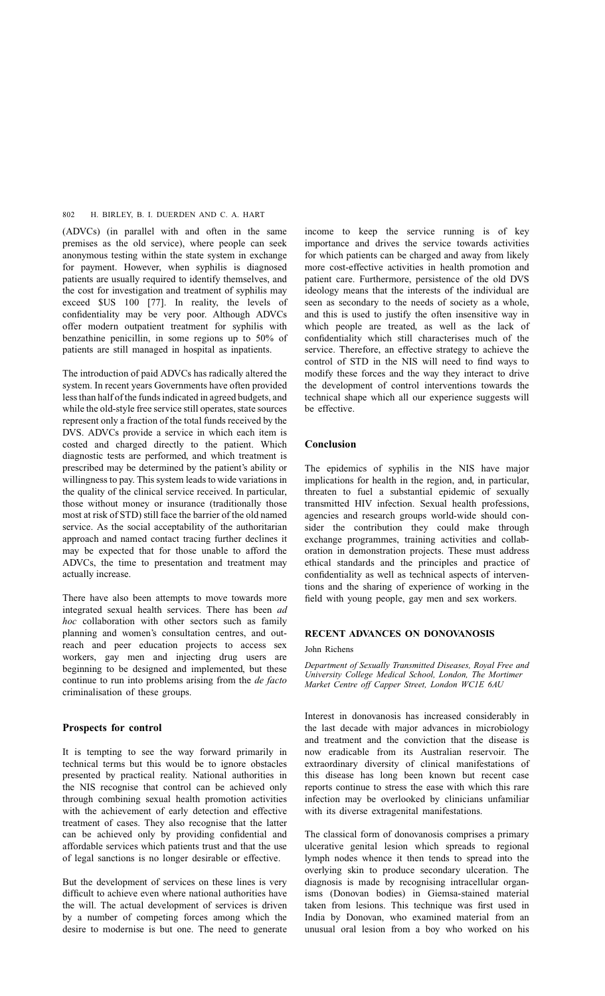(ADVCs) (in parallel with and often in the same premises as the old service), where people can seek anonymous testing within the state system in exchange for payment. However, when syphilis is diagnosed patients are usually required to identify themselves, and the cost for investigation and treatment of syphilis may exceed \$US 100 [\[77\].](#page-14-0) In reality, the levels of confidentiality may be very poor. Although ADVCs offer modern outpatient treatment for syphilis with benzathine penicillin, in some regions up to 50% of patients are still managed in hospital as inpatients.

The introduction of paid ADVCs has radically altered the system. In recent years Governments have often provided less than half of the funds indicated in agreed budgets, and while the old-style free service still operates, state sources represent only a fraction of the total funds received by the DVS. ADVCs provide a service in which each item is costed and charged directly to the patient. Which diagnostic tests are performed, and which treatment is prescribed may be determined by the patient's ability or willingness to pay. This system leads to wide variations in the quality of the clinical service received. In particular, those without money or insurance (traditionally those most at risk of STD) still face the barrier of the old named service. As the social acceptability of the authoritarian approach and named contact tracing further declines it may be expected that for those unable to afford the ADVCs, the time to presentation and treatment may actually increase.

There have also been attempts to move towards more integrated sexual health services. There has been ad hoc collaboration with other sectors such as family planning and women's consultation centres, and outreach and peer education projects to access sex workers, gay men and injecting drug users are beginning to be designed and implemented, but these continue to run into problems arising from the *de facto* criminalisation of these groups.

## Prospects for control

It is tempting to see the way forward primarily in technical terms but this would be to ignore obstacles presented by practical reality. National authorities in the NIS recognise that control can be achieved only through combining sexual health promotion activities with the achievement of early detection and effective treatment of cases. They also recognise that the latter can be achieved only by providing confidential and affordable services which patients trust and that the use of legal sanctions is no longer desirable or effective.

But the development of services on these lines is very difficult to achieve even where national authorities have the will. The actual development of services is driven by a number of competing forces among which the desire to modernise is but one. The need to generate

income to keep the service running is of key importance and drives the service towards activities for which patients can be charged and away from likely more cost-effective activities in health promotion and patient care. Furthermore, persistence of the old DVS ideology means that the interests of the individual are seen as secondary to the needs of society as a whole, and this is used to justify the often insensitive way in which people are treated, as well as the lack of confidentiality which still characterises much of the service. Therefore, an effective strategy to achieve the control of STD in the NIS will need to find ways to modify these forces and the way they interact to drive the development of control interventions towards the technical shape which all our experience suggests will be effective.

## Conclusion

The epidemics of syphilis in the NIS have major implications for health in the region, and, in particular, threaten to fuel a substantial epidemic of sexually transmitted HIV infection. Sexual health professions, agencies and research groups world-wide should consider the contribution they could make through exchange programmes, training activities and collaboration in demonstration projects. These must address ethical standards and the principles and practice of confidentiality as well as technical aspects of interventions and the sharing of experience of working in the field with young people, gay men and sex workers.

## RECENT ADVANCES ON DONOVANOSIS

#### John Richens

Department of Sexually Transmitted Diseases, Royal Free and University College Medical School, London, The Mortimer Market Centre off Capper Street, London WC1E 6AU

Interest in donovanosis has increased considerably in the last decade with major advances in microbiology and treatment and the conviction that the disease is now eradicable from its Australian reservoir. The extraordinary diversity of clinical manifestations of this disease has long been known but recent case reports continue to stress the ease with which this rare infection may be overlooked by clinicians unfamiliar with its diverse extragenital manifestations.

The classical form of donovanosis comprises a primary ulcerative genital lesion which spreads to regional lymph nodes whence it then tends to spread into the overlying skin to produce secondary ulceration. The diagnosis is made by recognising intracellular organisms (Donovan bodies) in Giemsa-stained material taken from lesions. This technique was first used in India by Donovan, who examined material from an unusual oral lesion from a boy who worked on his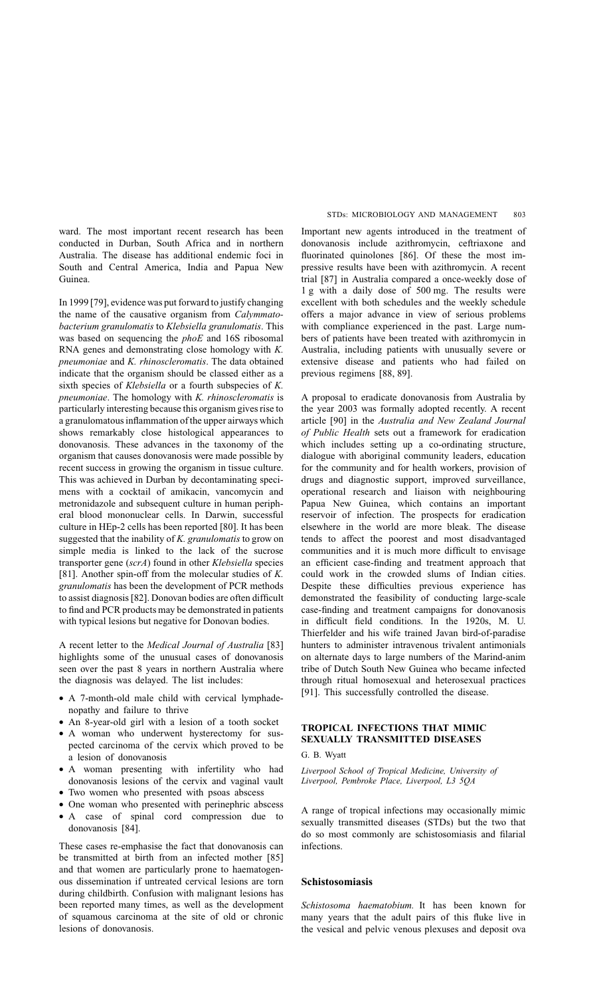ward. The most important recent research has been conducted in Durban, South Africa and in northern Australia. The disease has additional endemic foci in South and Central America, India and Papua New Guinea.

In 1999 [\[79\],](#page-14-0) evidence was put forward to justify changing the name of the causative organism from Calymmatobacterium granulomatis to Klebsiella granulomatis. This was based on sequencing the phoE and 16S ribosomal RNA genes and demonstrating close homology with K. pneumoniae and K. rhinoscleromatis. The data obtained indicate that the organism should be classed either as a sixth species of Klebsiella or a fourth subspecies of K. pneumoniae. The homology with K. rhinoscleromatis is particularly interesting because this organism gives rise to a granulomatous inflammation of the upper airways which shows remarkably close histological appearances to donovanosis. These advances in the taxonomy of the organism that causes donovanosis were made possible by recent success in growing the organism in tissue culture. This was achieved in Durban by decontaminating specimens with a cocktail of amikacin, vancomycin and metronidazole and subsequent culture in human peripheral blood mononuclear cells. In Darwin, successful culture in HEp-2 cells has been reported [\[80\]](#page-14-0). It has been suggested that the inability of K. granulomatis to grow on simple media is linked to the lack of the sucrose transporter gene (scrA) found in other Klebsiella species [\[81\]](#page-14-0). Another spin-off from the molecular studies of  $K$ . granulomatis has been the development of PCR methods to assist diagnosis [\[82\].](#page-14-0) Donovan bodies are often difficult to find and PCR products may be demonstrated in patients with typical lesions but negative for Donovan bodies.

A recent letter to the Medical Journal of Australia [\[83\]](#page-14-0) highlights some of the unusual cases of donovanosis seen over the past 8 years in northern Australia where the diagnosis was delayed. The list includes:

- A 7-month-old male child with cervical lymphadenopathy and failure to thrive
- An 8-year-old girl with a lesion of a tooth socket
- A woman who underwent hysterectomy for suspected carcinoma of the cervix which proved to be a lesion of donovanosis
- A woman presenting with infertility who had donovanosis lesions of the cervix and vaginal vault
- Two women who presented with psoas abscess
- One woman who presented with perinephric abscess
- A case of spinal cord compression due to donovanosis [\[84\]](#page-14-0).

These cases re-emphasise the fact that donovanosis can be transmitted at birth from an infected mother [\[85\]](#page-14-0) and that women are particularly prone to haematogenous dissemination if untreated cervical lesions are torn during childbirth. Confusion with malignant lesions has been reported many times, as well as the development of squamous carcinoma at the site of old or chronic lesions of donovanosis.

Important new agents introduced in the treatment of donovanosis include azithromycin, ceftriaxone and fluorinated quinolones [\[86\]](#page-14-0). Of these the most impressive results have been with azithromycin. A recent trial [\[87\]](#page-14-0) in Australia compared a once-weekly dose of 1 g with a daily dose of 500 mg. The results were excellent with both schedules and the weekly schedule offers a major advance in view of serious problems with compliance experienced in the past. Large numbers of patients have been treated with azithromycin in Australia, including patients with unusually severe or extensive disease and patients who had failed on previous regimens [\[88, 89\]](#page-14-0).

A proposal to eradicate donovanosis from Australia by the year 2003 was formally adopted recently. A recent article [\[90\]](#page-14-0) in the Australia and New Zealand Journal of Public Health sets out a framework for eradication which includes setting up a co-ordinating structure, dialogue with aboriginal community leaders, education for the community and for health workers, provision of drugs and diagnostic support, improved surveillance, operational research and liaison with neighbouring Papua New Guinea, which contains an important reservoir of infection. The prospects for eradication elsewhere in the world are more bleak. The disease tends to affect the poorest and most disadvantaged communities and it is much more difficult to envisage an efficient case-finding and treatment approach that could work in the crowded slums of Indian cities. Despite these difficulties previous experience has demonstrated the feasibility of conducting large-scale case-finding and treatment campaigns for donovanosis in difficult field conditions. In the 1920s, M. U. Thierfelder and his wife trained Javan bird-of-paradise hunters to administer intravenous trivalent antimonials on alternate days to large numbers of the Marind-anim tribe of Dutch South New Guinea who became infected through ritual homosexual and heterosexual practices [\[91\]](#page-14-0). This successfully controlled the disease.

## TROPICAL INFECTIONS THAT MIMIC SEXUALLY TRANSMITTED DISEASES

G. B. Wyatt

Liverpool School of Tropical Medicine, University of Liverpool, Pembroke Place, Liverpool, L3 5QA

A range of tropical infections may occasionally mimic sexually transmitted diseases (STDs) but the two that do so most commonly are schistosomiasis and filarial infections.

## Schistosomiasis

Schistosoma haematobium. It has been known for many years that the adult pairs of this fluke live in the vesical and pelvic venous plexuses and deposit ova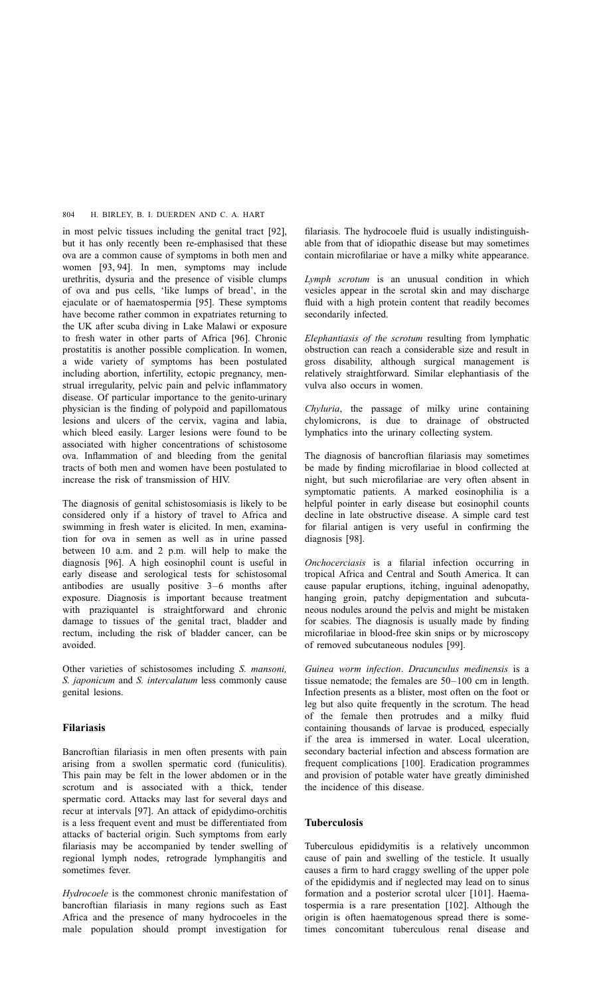in most pelvic tissues including the genital tract [\[92\],](#page-14-0) but it has only recently been re-emphasised that these ova are a common cause of symptoms in both men and women [\[93, 94\].](#page-14-0) In men, symptoms may include urethritis, dysuria and the presence of visible clumps of ova and pus cells, 'like lumps of bread', in the ejaculate or of haematospermia [\[95\]](#page-14-0). These symptoms have become rather common in expatriates returning to the UK after scuba diving in Lake Malawi or exposure to fresh water in other parts of Africa [\[96\].](#page-14-0) Chronic prostatitis is another possible complication. In women, a wide variety of symptoms has been postulated including abortion, infertility, ectopic pregnancy, menstrual irregularity, pelvic pain and pelvic inflammatory disease. Of particular importance to the genito-urinary physician is the finding of polypoid and papillomatous lesions and ulcers of the cervix, vagina and labia, which bleed easily. Larger lesions were found to be associated with higher concentrations of schistosome ova. Inflammation of and bleeding from the genital tracts of both men and women have been postulated to increase the risk of transmission of HIV.

The diagnosis of genital schistosomiasis is likely to be considered only if a history of travel to Africa and swimming in fresh water is elicited. In men, examination for ova in semen as well as in urine passed between 10 a.m. and 2 p.m. will help to make the diagnosis [\[96\].](#page-14-0) A high eosinophil count is useful in early disease and serological tests for schistosomal antibodies are usually positive 3–6 months after exposure. Diagnosis is important because treatment with praziquantel is straightforward and chronic damage to tissues of the genital tract, bladder and rectum, including the risk of bladder cancer, can be avoided.

Other varieties of schistosomes including S. mansoni, S. japonicum and S. intercalatum less commonly cause genital lesions.

## Filariasis

Bancroftian filariasis in men often presents with pain arising from a swollen spermatic cord (funiculitis). This pain may be felt in the lower abdomen or in the scrotum and is associated with a thick, tender spermatic cord. Attacks may last for several days and recur at intervals [\[97\].](#page-14-0) An attack of epidydimo-orchitis is a less frequent event and must be differentiated from attacks of bacterial origin. Such symptoms from early filariasis may be accompanied by tender swelling of regional lymph nodes, retrograde lymphangitis and sometimes fever.

Hydrocoele is the commonest chronic manifestation of bancroftian filariasis in many regions such as East Africa and the presence of many hydrocoeles in the male population should prompt investigation for

filariasis. The hydrocoele fluid is usually indistinguishable from that of idiopathic disease but may sometimes contain microfilariae or have a milky white appearance.

Lymph scrotum is an unusual condition in which vesicles appear in the scrotal skin and may discharge fluid with a high protein content that readily becomes secondarily infected.

Elephantiasis of the scrotum resulting from lymphatic obstruction can reach a considerable size and result in gross disability, although surgical management is relatively straightforward. Similar elephantiasis of the vulva also occurs in women.

Chyluria, the passage of milky urine containing chylomicrons, is due to drainage of obstructed lymphatics into the urinary collecting system.

The diagnosis of bancroftian filariasis may sometimes be made by finding microfilariae in blood collected at night, but such microfilariae are very often absent in symptomatic patients. A marked eosinophilia is a helpful pointer in early disease but eosinophil counts decline in late obstructive disease. A simple card test for filarial antigen is very useful in confirming the diagnosis [\[98\]](#page-14-0).

Onchocerciasis is a filarial infection occurring in tropical Africa and Central and South America. It can cause papular eruptions, itching, inguinal adenopathy, hanging groin, patchy depigmentation and subcutaneous nodules around the pelvis and might be mistaken for scabies. The diagnosis is usually made by finding microfilariae in blood-free skin snips or by microscopy of removed subcutaneous nodules [\[99\]](#page-14-0).

Guinea worm infection. Dracunculus medinensis is a tissue nematode; the females are 50–100 cm in length. Infection presents as a blister, most often on the foot or leg but also quite frequently in the scrotum. The head of the female then protrudes and a milky fluid containing thousands of larvae is produced, especially if the area is immersed in water. Local ulceration, secondary bacterial infection and abscess formation are frequent complications [\[100\]](#page-14-0). Eradication programmes and provision of potable water have greatly diminished the incidence of this disease.

## Tuberculosis

Tuberculous epididymitis is a relatively uncommon cause of pain and swelling of the testicle. It usually causes a firm to hard craggy swelling of the upper pole of the epididymis and if neglected may lead on to sinus formation and a posterior scrotal ulcer [\[101\].](#page-14-0) Haematospermia is a rare presentation [\[102\]](#page-14-0). Although the origin is often haematogenous spread there is sometimes concomitant tuberculous renal disease and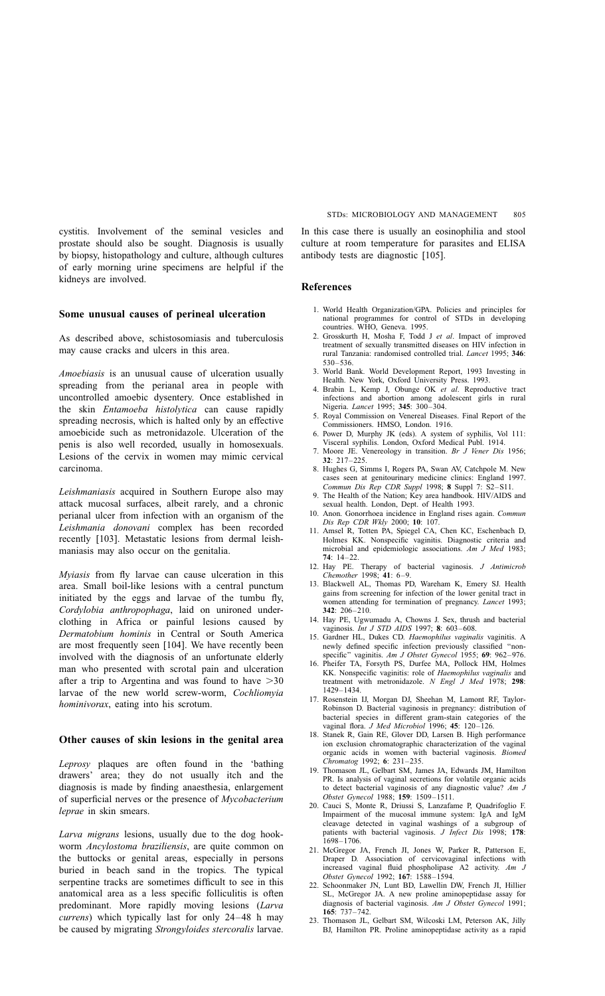<span id="page-12-0"></span>cystitis. Involvement of the seminal vesicles and prostate should also be sought. Diagnosis is usually by biopsy, histopathology and culture, although cultures of early morning urine specimens are helpful if the kidneys are involved.

## Some unusual causes of perineal ulceration

As described above, schistosomiasis and tuberculosis may cause cracks and ulcers in this area.

Amoebiasis is an unusual cause of ulceration usually spreading from the perianal area in people with uncontrolled amoebic dysentery. Once established in the skin Entamoeba histolytica can cause rapidly spreading necrosis, which is halted only by an effective amoebicide such as metronidazole. Ulceration of the penis is also well recorded, usually in homosexuals. Lesions of the cervix in women may mimic cervical carcinoma.

Leishmaniasis acquired in Southern Europe also may attack mucosal surfaces, albeit rarely, and a chronic perianal ulcer from infection with an organism of the Leishmania donovani complex has been recorded recently [\[103\].](#page-14-0) Metastatic lesions from dermal leishmaniasis may also occur on the genitalia.

Myiasis from fly larvae can cause ulceration in this area. Small boil-like lesions with a central punctum initiated by the eggs and larvae of the tumbu fly, Cordylobia anthropophaga, laid on unironed underclothing in Africa or painful lesions caused by Dermatobium hominis in Central or South America are most frequently seen [\[104\].](#page-14-0) We have recently been involved with the diagnosis of an unfortunate elderly man who presented with scrotal pain and ulceration after a trip to Argentina and was found to have  $>30$ larvae of the new world screw-worm, Cochliomyia hominivorax, eating into his scrotum.

#### Other causes of skin lesions in the genital area

Leprosy plaques are often found in the 'bathing drawers' area; they do not usually itch and the diagnosis is made by finding anaesthesia, enlargement of superficial nerves or the presence of Mycobacterium leprae in skin smears.

Larva migrans lesions, usually due to the dog hookworm Ancylostoma braziliensis, are quite common on the buttocks or genital areas, especially in persons buried in beach sand in the tropics. The typical serpentine tracks are sometimes difficult to see in this anatomical area as a less specific folliculitis is often predominant. More rapidly moving lesions (Larva currens) which typically last for only 24–48 h may be caused by migrating Strongyloides stercoralis larvae.

In this case there is usually an eosinophilia and stool culture at room temperature for parasites and ELISA antibody tests are diagnostic [\[105\].](#page-14-0)

#### References

- 1. World Health Organization/GPA. Policies and principles for national programmes for control of STDs in developing countries. WHO, Geneva. 1995.
- 2. Grosskurth H, Mosha F, Todd J et al. Impact of improved treatment of sexually transmitted diseases on HIV infection in rural Tanzania: randomised controlled trial. Lancet 1995; 346: 530–536.
- 3. World Bank. World Development Report, 1993 Investing in Health. New York, Oxford University Press. 1993.
- 4. Brabin L, Kemp J, Obunge OK et al. Reproductive tract infections and abortion among adolescent girls in rural Nigeria. Lancet 1995; 345: 300-304.
- 5. Royal Commission on Venereal Diseases. Final Report of the Commissioners. HMSO, London. 1916.
- 6. Power D, Murphy JK (eds). A system of syphilis, Vol 111: Visceral syphilis. London, Oxford Medical Publ. 1914.
- 7. Moore JE. Venereology in transition. Br J Vener Dis 1956; 32: 217–225.
- 8. Hughes G, Simms I, Rogers PA, Swan AV, Catchpole M. New cases seen at genitourinary medicine clinics: England 1997. Commun Dis Rep CDR Suppl 1998; 8 Suppl 7: S2–S11.
- 9. The Health of the Nation; Key area handbook. HIV/AIDS and sexual health. London, Dept. of Health 1993.
- 10. Anon. Gonorrhoea incidence in England rises again. Commun Dis Rep CDR Wkly 2000; 10: 107.
- 11. Amsel R, Totten PA, Spiegel CA, Chen KC, Eschenbach D, Holmes KK. Nonspecific vaginitis. Diagnostic criteria and microbial and epidemiologic associations. Am J Med 1983; 74: 14–22.
- 12. Hay PE. Therapy of bacterial vaginosis. J Antimicrob Chemother 1998; 41: 6–9.
- 13. Blackwell AL, Thomas PD, Wareham K, Emery SJ. Health gains from screening for infection of the lower genital tract in women attending for termination of pregnancy. Lancet 1993; 342: 206–210.
- 14. Hay PE, Ugwumadu A, Chowns J. Sex, thrush and bacterial vaginosis. Int J STD AIDS 1997; 8: 603-608.
- 15. Gardner HL, Dukes CD. Haemophilus vaginalis vaginitis. A newly defined specific infection previously classified ''nonspecific" vaginitis. Am J Obstet Gynecol 1955; 69: 962-976.
- 16. Pheifer TA, Forsyth PS, Durfee MA, Pollock HM, Holmes KK. Nonspecific vaginitis: role of Haemophilus vaginalis and treatment with metronidazole. N Engl J Med 1978; 298: 1429–1434.
- 17. Rosenstein IJ, Morgan DJ, Sheehan M, Lamont RF, Taylor-Robinson D. Bacterial vaginosis in pregnancy: distribution of bacterial species in different gram-stain categories of the vaginal flora. J Med Microbiol 1996; 45: 120–126.
- 18. Stanek R, Gain RE, Glover DD, Larsen B. High performance ion exclusion chromatographic characterization of the vaginal organic acids in women with bacterial vaginosis. Biomed Chromatog 1992; 6: 231–235.
- 19. Thomason JL, Gelbart SM, James JA, Edwards JM, Hamilton PR. Is analysis of vaginal secretions for volatile organic acids to detect bacterial vaginosis of any diagnostic value? Am J Obstet Gynecol 1988; 159: 1509–1511.
- 20. Cauci S, Monte R, Driussi S, Lanzafame P, Quadrifoglio F. Impairment of the mucosal immune system: IgA and IgM cleavage detected in vaginal washings of a subgroup of patients with bacterial vaginosis. J Infect Dis 1998; 178: 1698–1706.
- 21. McGregor JA, French JI, Jones W, Parker R, Patterson E, Draper D. Association of cervicovaginal infections with increased vaginal fluid phospholipase A2 activity. Am J Obstet Gynecol 1992; 167: 1588–1594.
- 22. Schoonmaker JN, Lunt BD, Lawellin DW, French JI, Hillier SL, McGregor JA. A new proline aminopeptidase assay for diagnosis of bacterial vaginosis. Am J Obstet Gynecol 1991; 165: 737–742.
- 23. Thomason JL, Gelbart SM, Wilcoski LM, Peterson AK, Jilly BJ, Hamilton PR. Proline aminopeptidase activity as a rapid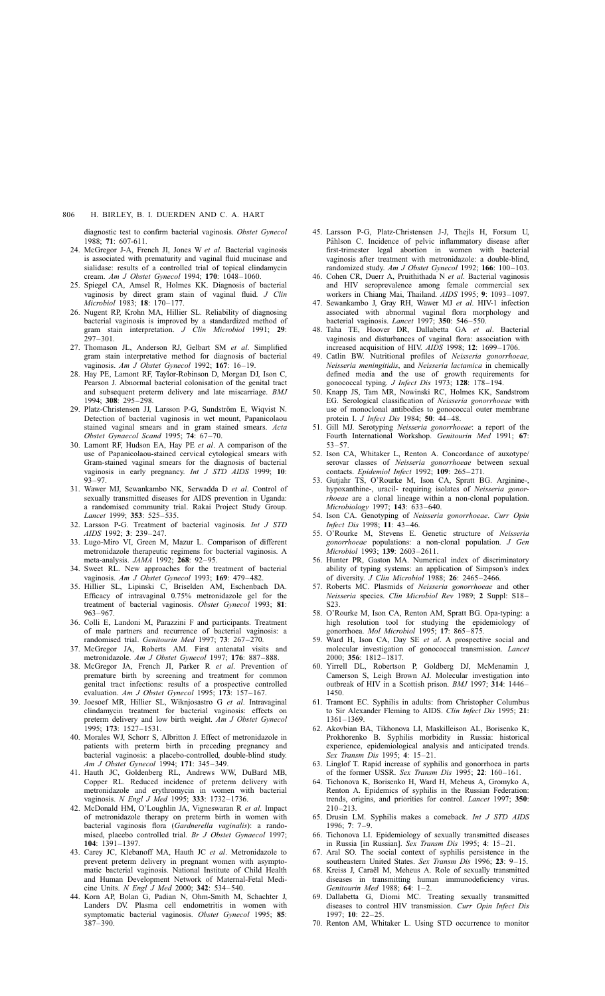<span id="page-13-0"></span>diagnostic test to confirm bacterial vaginosis. Obstet Gynecol 1988; 71: 607-611.

- 24. McGregor J-A, French JI, Jones W et al. Bacterial vaginosis is associated with prematurity and vaginal fluid mucinase and sialidase: results of a controlled trial of topical clindamycin cream. Am J Obstet Gynecol 1994; 170: 1048–1060.
- 25. Spiegel CA, Amsel R, Holmes KK. Diagnosis of bacterial vaginosis by direct gram stain of vaginal fluid. J Clin Microbiol 1983; 18: 170–177.
- 26. Nugent RP, Krohn MA, Hillier SL. Reliability of diagnosing bacterial vaginosis is improved by a standardized method of gram stain interpretation. J Clin Microbiol 1991; 29: 297–301.
- 27. Thomason JL, Anderson RJ, Gelbart SM et al. Simplified gram stain interpretative method for diagnosis of bacterial vaginosis. Am J Obstet Gynecol 1992; 167: 16–19.
- 28. Hay PE, Lamont RF, Taylor-Robinson D, Morgan DJ, Ison C, Pearson J. Abnormal bacterial colonisation of the genital tract and subsequent preterm delivery and late miscarriage. BMJ  $1994 \cdot 308 \cdot 295 - 298$
- 29. Platz-Christensen JJ, Larsson P-G, Sundström E, Wiqvist N. Detection of bacterial vaginosis in wet mount, Papanicolaou stained vaginal smears and in gram stained smears. Acta Obstet Gynaecol Scand 1995; 74: 67–70.
- 30. Lamont RF, Hudson EA, Hay PE et al. A comparison of the use of Papanicolaou-stained cervical cytological smears with Gram-stained vaginal smears for the diagnosis of bacterial vaginosis in early pregnancy. Int J STD AIDS 1999; 10: 93–97.
- 31. Wawer MJ, Sewankambo NK, Serwadda D et al. Control of sexually transmitted diseases for AIDS prevention in Uganda: a randomised community trial. Rakai Project Study Group. Lancet 1999; 353: 525-535.
- 32. Larsson P-G. Treatment of bacterial vaginosis. Int J STD AIDS 1992; 3: 239–247.
- 33. Lugo-Miro VI, Green M, Mazur L. Comparison of different metronidazole therapeutic regimens for bacterial vaginosis. A meta-analysis. JAMA 1992; 268: 92–95.
- 34. Sweet RL. New approaches for the treatment of bacterial vaginosis. Am J Obstet Gynecol 1993; 169: 479–482.
- 35. Hillier SL, Lipinski C, Briselden AM, Eschenbach DA. Efficacy of intravaginal 0.75% metronidazole gel for the treatment of bacterial vaginosis. Obstet Gynecol 1993; 81: 963–967.
- 36. Colli E, Landoni M, Parazzini F and participants. Treatment of male partners and recurrence of bacterial vaginosis: a randomised trial. Genitourin Med 1997; 73: 267–270.
- 37. McGregor JA, Roberts AM. First antenatal visits and metronidazole. Am J Obstet Gynecol 1997; 176: 887–888.
- 38. McGregor JA, French JI, Parker R et al. Prevention of premature birth by screening and treatment for common genital tract infections: results of a prospective controlled evaluation. Am J Obstet Gynecol 1995; 173: 157–167.
- 39. Joesoef MR, Hillier SL, Wiknjosastro G et al. Intravaginal clindamycin treatment for bacterial vaginosis: effects on preterm delivery and low birth weight. Am J Obstet Gynecol 1995; 173: 1527–1531.
- 40. Morales WJ, Schorr S, Albritton J. Effect of metronidazole in patients with preterm birth in preceding pregnancy and bacterial vaginosis: a placebo-controlled, double-blind study. Am J Obstet Gynecol 1994; 171: 345–349.
- 41. Hauth JC, Goldenberg RL, Andrews WW, DuBard MB, Copper RL. Reduced incidence of preterm delivery with metronidazole and erythromycin in women with bacterial vaginosis. N Engl J Med 1995; 333: 1732–1736.
- 42. McDonald HM, O'Loughlin JA, Vigneswaran R et al. Impact of metronidazole therapy on preterm birth in women with bacterial vaginosis flora (Gardnerella vaginalis): a randomised, placebo controlled trial. Br J Obstet Gynaecol 1997; 104: 1391–1397.
- 43. Carey JC, Klebanoff MA, Hauth JC et al. Metronidazole to prevent preterm delivery in pregnant women with asymptomatic bacterial vaginosis. National Institute of Child Health and Human Development Network of Maternal-Fetal Medicine Units. N Engl J Med 2000; 342: 534–540.
- 44. Korn AP, Bolan G, Padian N, Ohm-Smith M, Schachter J, Landers DV. Plasma cell endometritis in women with symptomatic bacterial vaginosis. Obstet Gynecol 1995; 85: 387–390.
- 45. Larsson P-G, Platz-Christensen J-J, Thejls H, Forsum U, Påhlson C. Incidence of pelvic inflammatory disease after first-trimester legal abortion in women with bacterial vaginosis after treatment with metronidazole: a double-blind, randomized study. Am J Obstet Gynecol 1992; 166: 100–103.
- 46. Cohen CR, Duerr A, Pruithithada N et al. Bacterial vaginosis and HIV seroprevalence among female commercial sex workers in Chiang Mai, Thailand. AIDS 1995; 9: 1093–1097.
- 47. Sewankambo J, Gray RH, Wawer MJ et al. HIV-1 infection associated with abnormal vaginal flora morphology and bacterial vaginosis. Lancet 1997; 350: 546–550.
- 48. Taha TE, Hoover DR, Dallabetta GA et al. Bacterial vaginosis and disturbances of vaginal flora: association with increased acquisition of HIV. AIDS 1998; 12: 1699–1706.
- 49. Catlin BW. Nutritional profiles of Neisseria gonorrhoeae, Neisseria meningitidis, and Neisseria lactamica in chemically defined media and the use of growth requirements for gonococcal typing. J Infect Dis 1973; 128: 178–194.
- 50. Knapp JS, Tam MR, Nowinski RC, Holmes KK, Sandstrom EG. Serological classification of Neisseria gonorrhoeae with use of monoclonal antibodies to gonococcal outer membrane protein I. J Infect Dis 1984; 50: 44–48.
- 51. Gill MJ. Serotyping Neisseria gonorrhoeae: a report of the Fourth International Workshop. Genitourin Med 1991; 67: 53–57.
- 52. Ison CA, Whitaker L, Renton A. Concordance of auxotype/ serovar classes of Neisseria gonorrhoeae between sexual contacts. Epidemiol Infect 1992; 109: 265–271.
- 53. Gutjahr TS, O'Rourke M, Ison CA, Spratt BG. Arginine-, hypoxanthine-, uracil- requiring isolates of Neisseria gonorrhoeae are a clonal lineage within a non-clonal population. Microbiology 1997; **143**: 633-640.
- 54. Ison CA. Genotyping of Neisseria gonorrhoeae. Curr Opin Infect Dis 1998; 11: 43–46.
- 55. O'Rourke M, Stevens E. Genetic structure of Neisseria gonorrhoeae populations: a non-clonal population. J Gen Microbiol 1993; 139: 2603–2611.
- 56. Hunter PR, Gaston MA. Numerical index of discriminatory ability of typing systems: an application of Simpson's index of diversity. J Clin Microbiol 1988; 26: 2465–2466.
- 57. Roberts MC. Plasmids of Neisseria gonorrhoeae and other Neisseria species. Clin Microbiol Rev 1989; 2 Suppl: S18– S23.
- 58. O'Rourke M, Ison CA, Renton AM, Spratt BG. Opa-typing: a high resolution tool for studying the epidemiology of gonorrhoea. Mol Microbiol 1995; 17: 865–875.
- 59. Ward H, Ison CA, Day SE et al. A prospective social and molecular investigation of gonococcal transmission. Lancet 2000; 356: 1812–1817.
- 60. Yirrell DL, Robertson P, Goldberg DJ, McMenamin J, Camerson S, Leigh Brown AJ. Molecular investigation into outbreak of HIV in a Scottish prison. BMJ 1997; 314: 1446– 1450.
- 61. Tramont EC. Syphilis in adults: from Christopher Columbus to Sir Alexander Fleming to AIDS. Clin Infect Dis 1995; 21: 1361–1369.
- 62. Akovbian BA, Tikhonova LI, Maskilleison AL, Borisenko K, Prokhorenko B. Syphilis morbidity in Russia: historical experience, epidemiological analysis and anticipated trends. Sex Transm Dis 1995; 4: 15–21.
- 63. Linglof T. Rapid increase of syphilis and gonorrhoea in parts of the former USSR. Sex Transm Dis 1995; 22: 160–161.
- 64. Tichonova K, Borisenko H, Ward H, Meheus A, Gromyko A, Renton A. Epidemics of syphilis in the Russian Federation: trends, origins, and priorities for control. Lancet 1997; 350: 210–213.
- 65. Drusin LM. Syphilis makes a comeback. Int J STD AIDS 1996; 7: 7–9.
- 66. Tichonova LI. Epidemiology of sexually transmitted diseases in Russia [in Russian]. Sex Transm Dis 1995; 4: 15–21.
- 67. Aral SO. The social context of syphilis persistence in the southeastern United States. Sex Transm Dis 1996; 23: 9-15.
- 68. Kreiss J, Caraël M, Meheus A. Role of sexually transmitted diseases in transmitting human immunodeficiency virus. Genitourin Med 1988; 64: 1–2.
- 69. Dallabetta G, Diomi MC. Treating sexually transmitted diseases to control HIV transmission. Curr Opin Infect Dis 1997; 10: 22–25.
- 70. Renton AM, Whitaker L. Using STD occurrence to monitor